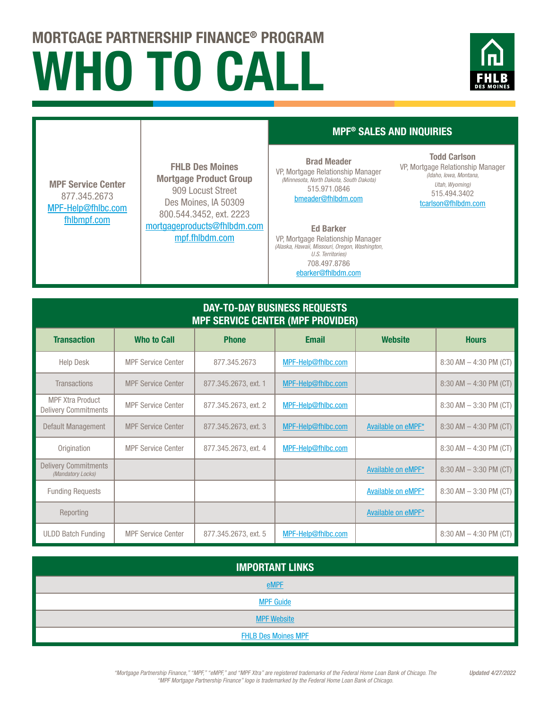## WHO TO CALL MORTGAGE PARTNERSHIP FINANCE® PROGRAM



## DAY-TO-DAY BUSINESS REQUESTS MPF SERVICE CENTER (MPF PROVIDER) Transaction | Who $to Call | Phone | Email | Website | Hours$ Help Desk MPF Service Center | 877.345.2673 | MPF-Help@fhlbc.com | 8:30 AM – 4:30 PM (CT) MPF Service Center 877.345.2673 MPF-Help@fhlbc.com [fhlbmpf.com](http://fhlbmpf.com) FHLB Des Moines Mortgage Product Group 909 Locust Street Des Moines, IA 50309 800.544.3452, ext. 2223 mortgageproducts@fhlbdm.com [mpf.fhlbdm.com](http://mpf.fhlbdm.com) MPF® SALES AND INQUIRIES Brad Meader VP, Mortgage Relationship Manager *(Minnesota, North Dakota, South Dakota)* 515.971.0846 bmeader@fhlbdm.com Todd Carlson VP, Mortgage Relationship Manager *(Idaho, Iowa, Montana, Utah, Wyoming)* 515.494.3402 tcarlson@fhlbdm.com Ed Barker VP, Mortgage Relationship Manager *(Alaska, Hawaii, Missouri, Oregon, Washington, U.S. Territories)* 708.497.8786 ebarker@fhlbdm.com

| <b>Transactions</b>                                    | <b>MPF Service Center</b> | 877.345.2673, ext. 1 | MPF-Help@fhlbc.com |                    | $8:30$ AM $-$ 4:30 PM (CT) |
|--------------------------------------------------------|---------------------------|----------------------|--------------------|--------------------|----------------------------|
| <b>MPF Xtra Product</b><br><b>Delivery Commitments</b> | <b>MPF Service Center</b> | 877.345.2673, ext. 2 | MPF-Help@fhlbc.com |                    | $8:30$ AM $-3:30$ PM (CT)  |
| Default Management                                     | <b>MPF Service Center</b> | 877.345.2673. ext. 3 | MPF-Help@fhlbc.com | Available on eMPF* | $8:30$ AM $-$ 4:30 PM (CT) |
| Origination                                            | <b>MPF Service Center</b> | 877.345.2673, ext. 4 | MPF-Help@fhlbc.com |                    | $8:30$ AM $-$ 4:30 PM (CT) |
| <b>Delivery Commitments</b><br>(Mandatory Locks)       |                           |                      |                    | Available on eMPF* | $8:30$ AM $-3:30$ PM (CT)  |
| <b>Funding Requests</b>                                |                           |                      |                    | Available on eMPF* | $8:30$ AM $-3:30$ PM (CT)  |
| Reporting                                              |                           |                      |                    | Available on eMPF* |                            |
| <b>ULDD Batch Funding</b>                              | <b>MPF Service Center</b> | 877.345.2673, ext. 5 | MPF-Help@fhlbc.com |                    | $8:30$ AM $-$ 4:30 PM (CT) |

| <b>IMPORTANT LINKS</b>     |  |  |  |
|----------------------------|--|--|--|
| <b>eMPF</b>                |  |  |  |
| <b>MPF Guide</b>           |  |  |  |
| <b>MPF Website</b>         |  |  |  |
| <b>FHLB Des Moines MPF</b> |  |  |  |